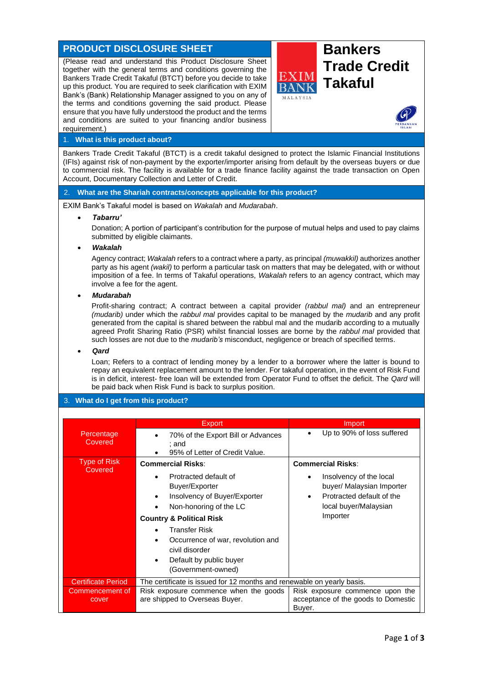# **PRODUCT DISCLOSURE SHEET BANKERS**

(Please read and understand this Product Disclosure Sheet together with the general terms and conditions governing the Bankers Trade Credit Takaful (BTCT) before you decide to take up this product. You are required to seek clarification with EXIM Bank's (Bank) Relationship Manager assigned to you on any of the terms and conditions governing the said product. Please ensure that you have fully understood the product and the terms and conditions are suited to your financing and/or business requirement.)





## 1. **What is this product about?**

Bankers Trade Credit Takaful (BTCT) is a credit takaful designed to protect the Islamic Financial Institutions (IFIs) against risk of non-payment by the exporter/importer arising from default by the overseas buyers or due to commercial risk. The facility is available for a trade finance facility against the trade transaction on Open Account, Documentary Collection and Letter of Credit.

### 2. **What are the Shariah contracts/concepts applicable for this product?**

EXIM Bank's Takaful model is based on *Wakalah* and *Mudarabah*.

#### • *Tabarru'*

Donation; A portion of participant's contribution for the purpose of mutual helps and used to pay claims submitted by eligible claimants.

### • *Wakalah*

Agency contract; *Wakalah* refers to a contract where a party, as principal *(muwakkil)* authorizes another party as his agent *(wakil)* to perform a particular task on matters that may be delegated, with or without imposition of a fee. In terms of Takaful operations, *Wakalah* refers to an agency contract, which may involve a fee for the agent.

### • *Mudarabah*

Profit-sharing contract; A contract between a capital provider *(rabbul mal)* and an entrepreneur *(mudarib)* under which the *rabbul mal* provides capital to be managed by the *mudarib* and any profit generated from the capital is shared between the rabbul mal and the mudarib according to a mutually agreed Profit Sharing Ratio (PSR) whilst financial losses are borne by the *rabbul mal* provided that such losses are not due to the *mudarib's* misconduct, negligence or breach of specified terms.

#### • *Qard*

Loan; Refers to a contract of lending money by a lender to a borrower where the latter is bound to repay an equivalent replacement amount to the lender. For takaful operation, in the event of Risk Fund is in deficit, interest- free loan will be extended from Operator Fund to offset the deficit. The *Qard* will be paid back when Risk Fund is back to surplus position.

## 3. **What do I get from this product?**

|                                | <b>Export</b>                                                          | Import                                        |
|--------------------------------|------------------------------------------------------------------------|-----------------------------------------------|
| Percentage                     | 70% of the Export Bill or Advances                                     | Up to 90% of loss suffered                    |
| Covered                        | ; and                                                                  |                                               |
|                                | 95% of Letter of Credit Value.                                         |                                               |
| <b>Type of Risk</b><br>Covered | <b>Commercial Risks:</b>                                               | <b>Commercial Risks:</b>                      |
|                                | Protracted default of                                                  | Insolvency of the local<br>٠                  |
|                                | Buyer/Exporter                                                         | buyer/ Malaysian Importer                     |
|                                | Insolvency of Buyer/Exporter                                           | Protracted default of the<br>٠                |
|                                | Non-honoring of the LC                                                 | local buyer/Malaysian                         |
|                                |                                                                        | Importer                                      |
|                                | <b>Country &amp; Political Risk</b>                                    |                                               |
|                                | <b>Transfer Risk</b>                                                   |                                               |
|                                | Occurrence of war, revolution and                                      |                                               |
|                                | civil disorder                                                         |                                               |
|                                | Default by public buyer                                                |                                               |
|                                | (Government-owned)                                                     |                                               |
|                                |                                                                        |                                               |
| <b>Certificate Period</b>      | The certificate is issued for 12 months and renewable on yearly basis. |                                               |
| Commencement of                | Risk exposure commence when the goods                                  | Risk exposure commence upon the               |
| cover                          | are shipped to Overseas Buyer.                                         | acceptance of the goods to Domestic<br>Buyer. |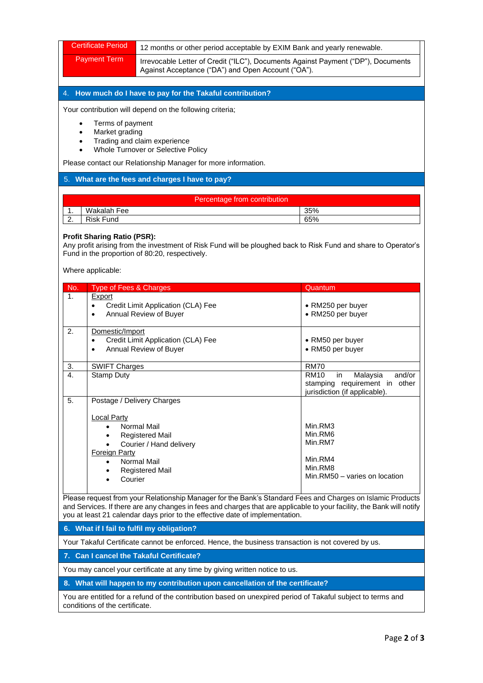| <b>Certificate Period</b>                                                                                                                                                                                                                                                                                           |                                                                                                                                                              |                                                                                                           |  |  |
|---------------------------------------------------------------------------------------------------------------------------------------------------------------------------------------------------------------------------------------------------------------------------------------------------------------------|--------------------------------------------------------------------------------------------------------------------------------------------------------------|-----------------------------------------------------------------------------------------------------------|--|--|
| <b>Payment Term</b>                                                                                                                                                                                                                                                                                                 | 12 months or other period acceptable by EXIM Bank and yearly renewable.<br>Irrevocable Letter of Credit ("ILC"), Documents Against Payment ("DP"), Documents |                                                                                                           |  |  |
|                                                                                                                                                                                                                                                                                                                     | Against Acceptance ("DA") and Open Account ("OA").                                                                                                           |                                                                                                           |  |  |
|                                                                                                                                                                                                                                                                                                                     |                                                                                                                                                              |                                                                                                           |  |  |
| How much do I have to pay for the Takaful contribution?<br>4.                                                                                                                                                                                                                                                       |                                                                                                                                                              |                                                                                                           |  |  |
| Your contribution will depend on the following criteria;                                                                                                                                                                                                                                                            |                                                                                                                                                              |                                                                                                           |  |  |
| $\bullet$                                                                                                                                                                                                                                                                                                           | Terms of payment                                                                                                                                             |                                                                                                           |  |  |
| Market grading<br>$\bullet$<br>Trading and claim experience<br>$\bullet$                                                                                                                                                                                                                                            |                                                                                                                                                              |                                                                                                           |  |  |
| Whole Turnover or Selective Policy                                                                                                                                                                                                                                                                                  |                                                                                                                                                              |                                                                                                           |  |  |
|                                                                                                                                                                                                                                                                                                                     | Please contact our Relationship Manager for more information.                                                                                                |                                                                                                           |  |  |
| 5. What are the fees and charges I have to pay?                                                                                                                                                                                                                                                                     |                                                                                                                                                              |                                                                                                           |  |  |
| Percentage from contribution                                                                                                                                                                                                                                                                                        |                                                                                                                                                              |                                                                                                           |  |  |
| Wakalah Fee<br>$\mathbf 1$ .                                                                                                                                                                                                                                                                                        |                                                                                                                                                              | 35%                                                                                                       |  |  |
| 2.<br><b>Risk Fund</b>                                                                                                                                                                                                                                                                                              |                                                                                                                                                              | 65%                                                                                                       |  |  |
| <b>Profit Sharing Ratio (PSR):</b><br>Any profit arising from the investment of Risk Fund will be ploughed back to Risk Fund and share to Operator's<br>Fund in the proportion of 80:20, respectively.<br>Where applicable:                                                                                         |                                                                                                                                                              |                                                                                                           |  |  |
| Type of Fees & Charges<br>No.                                                                                                                                                                                                                                                                                       |                                                                                                                                                              | Quantum                                                                                                   |  |  |
| 1.<br>Export                                                                                                                                                                                                                                                                                                        |                                                                                                                                                              |                                                                                                           |  |  |
| $\bullet$                                                                                                                                                                                                                                                                                                           | Credit Limit Application (CLA) Fee                                                                                                                           | • RM250 per buyer                                                                                         |  |  |
| $\bullet$                                                                                                                                                                                                                                                                                                           | Annual Review of Buyer                                                                                                                                       | • RM250 per buyer                                                                                         |  |  |
| Domestic/Import<br>2.                                                                                                                                                                                                                                                                                               |                                                                                                                                                              |                                                                                                           |  |  |
| $\bullet$<br>$\bullet$                                                                                                                                                                                                                                                                                              | Credit Limit Application (CLA) Fee<br>Annual Review of Buyer                                                                                                 | • RM50 per buyer<br>• RM50 per buyer                                                                      |  |  |
| <b>SWIFT Charges</b><br>3.                                                                                                                                                                                                                                                                                          |                                                                                                                                                              | <b>RM70</b>                                                                                               |  |  |
| <b>Stamp Duty</b><br>4.                                                                                                                                                                                                                                                                                             |                                                                                                                                                              | <b>RM10</b><br>Malaysia<br>and/or<br>in<br>stamping requirement in other<br>jurisdiction (if applicable). |  |  |
| 5.                                                                                                                                                                                                                                                                                                                  | Postage / Delivery Charges                                                                                                                                   |                                                                                                           |  |  |
| <b>Local Party</b>                                                                                                                                                                                                                                                                                                  |                                                                                                                                                              |                                                                                                           |  |  |
|                                                                                                                                                                                                                                                                                                                     | <b>Normal Mail</b>                                                                                                                                           | Min.RM3                                                                                                   |  |  |
| $\bullet$                                                                                                                                                                                                                                                                                                           | <b>Registered Mail</b><br>Courier / Hand delivery                                                                                                            | Min.RM6<br>Min.RM7                                                                                        |  |  |
| <b>Foreign Party</b>                                                                                                                                                                                                                                                                                                |                                                                                                                                                              |                                                                                                           |  |  |
|                                                                                                                                                                                                                                                                                                                     | Normal Mail                                                                                                                                                  | Min.RM4<br>Min.RM8                                                                                        |  |  |
| Courier                                                                                                                                                                                                                                                                                                             | <b>Registered Mail</b>                                                                                                                                       | Min.RM50 - varies on location                                                                             |  |  |
|                                                                                                                                                                                                                                                                                                                     |                                                                                                                                                              |                                                                                                           |  |  |
| Please request from your Relationship Manager for the Bank's Standard Fees and Charges on Islamic Products<br>and Services. If there are any changes in fees and charges that are applicable to your facility, the Bank will notify<br>you at least 21 calendar days prior to the effective date of implementation. |                                                                                                                                                              |                                                                                                           |  |  |
| 6. What if I fail to fulfil my obligation?                                                                                                                                                                                                                                                                          |                                                                                                                                                              |                                                                                                           |  |  |
| Your Takaful Certificate cannot be enforced. Hence, the business transaction is not covered by us.                                                                                                                                                                                                                  |                                                                                                                                                              |                                                                                                           |  |  |
| <b>Can I cancel the Takaful Certificate?</b><br>7.                                                                                                                                                                                                                                                                  |                                                                                                                                                              |                                                                                                           |  |  |
| You may cancel your certificate at any time by giving written notice to us.                                                                                                                                                                                                                                         |                                                                                                                                                              |                                                                                                           |  |  |
| 8. What will happen to my contribution upon cancellation of the certificate?                                                                                                                                                                                                                                        |                                                                                                                                                              |                                                                                                           |  |  |

You are entitled for a refund of the contribution based on unexpired period of Takaful subject to terms and conditions of the certificate.